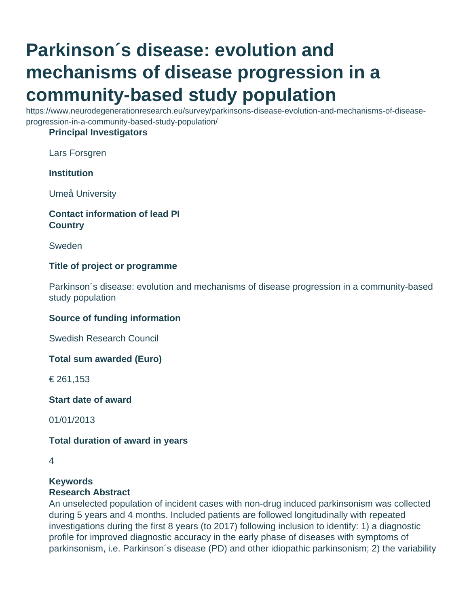# **Parkinson´s disease: evolution and mechanisms of disease progression in a community-based study population**

https://www.neurodegenerationresearch.eu/survey/parkinsons-disease-evolution-and-mechanisms-of-diseaseprogression-in-a-community-based-study-population/

#### **Principal Investigators**

Lars Forsgren

# **Institution**

Umeå University

# **Contact information of lead PI Country**

Sweden

# **Title of project or programme**

Parkinson´s disease: evolution and mechanisms of disease progression in a community-based study population

#### **Source of funding information**

Swedish Research Council

**Total sum awarded (Euro)**

€ 261,153

**Start date of award**

01/01/2013

#### **Total duration of award in years**

# **Keywords**

# **Research Abstract**

An unselected population of incident cases with non-drug induced parkinsonism was collected during 5 years and 4 months. Included patients are followed longitudinally with repeated investigations during the first 8 years (to 2017) following inclusion to identify: 1) a diagnostic profile for improved diagnostic accuracy in the early phase of diseases with symptoms of parkinsonism, i.e. Parkinson´s disease (PD) and other idiopathic parkinsonism; 2) the variability

<sup>4</sup>